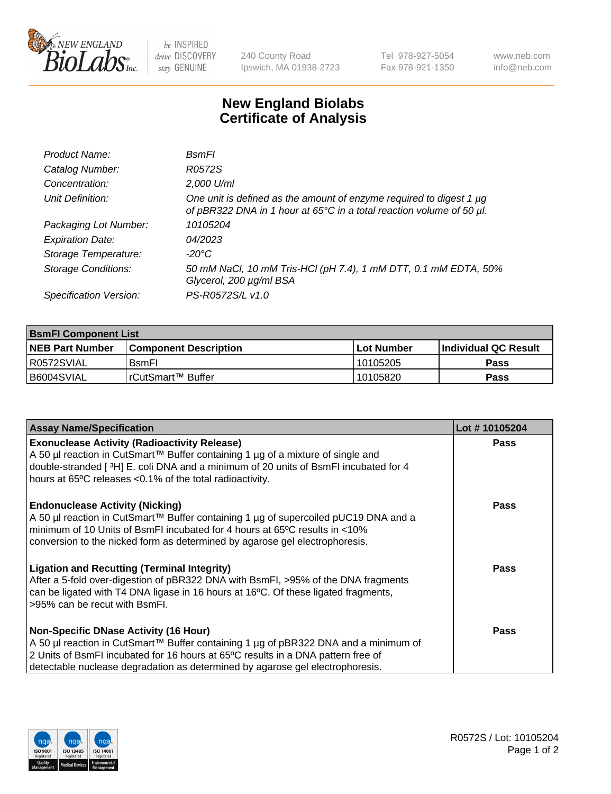

 $be$  INSPIRED drive DISCOVERY stay GENUINE

240 County Road Ipswich, MA 01938-2723 Tel 978-927-5054 Fax 978-921-1350 www.neb.com info@neb.com

## **New England Biolabs Certificate of Analysis**

| Product Name:              | <b>B</b> smFl                                                                                                                               |
|----------------------------|---------------------------------------------------------------------------------------------------------------------------------------------|
| Catalog Number:            | R0572S                                                                                                                                      |
| Concentration:             | 2,000 U/ml                                                                                                                                  |
| Unit Definition:           | One unit is defined as the amount of enzyme required to digest 1 µg<br>of pBR322 DNA in 1 hour at 65°C in a total reaction volume of 50 µl. |
| Packaging Lot Number:      | 10105204                                                                                                                                    |
| <b>Expiration Date:</b>    | 04/2023                                                                                                                                     |
| Storage Temperature:       | -20°C                                                                                                                                       |
| <b>Storage Conditions:</b> | 50 mM NaCl, 10 mM Tris-HCl (pH 7.4), 1 mM DTT, 0.1 mM EDTA, 50%<br>Glycerol, 200 µg/ml BSA                                                  |
| Specification Version:     | PS-R0572S/L v1.0                                                                                                                            |

| <b>BsmFI Component List</b> |                         |              |                             |  |
|-----------------------------|-------------------------|--------------|-----------------------------|--|
| <b>NEB Part Number</b>      | l Component Description | l Lot Number | <b>Individual QC Result</b> |  |
| I R0572SVIAL                | <b>B</b> smFI           | 10105205     | Pass                        |  |
| I B6004SVIAL                | I rCutSmart™ Buffer_    | 10105820     | Pass                        |  |

| <b>Assay Name/Specification</b>                                                                                                                                                                                                                                                                          | Lot #10105204 |
|----------------------------------------------------------------------------------------------------------------------------------------------------------------------------------------------------------------------------------------------------------------------------------------------------------|---------------|
| <b>Exonuclease Activity (Radioactivity Release)</b><br>A 50 µl reaction in CutSmart™ Buffer containing 1 µg of a mixture of single and<br>double-stranded [ $3H$ ] E. coli DNA and a minimum of 20 units of BsmFI incubated for 4<br>hours at 65°C releases <0.1% of the total radioactivity.            | Pass          |
| <b>Endonuclease Activity (Nicking)</b><br>A 50 µl reaction in CutSmart™ Buffer containing 1 µg of supercoiled pUC19 DNA and a<br>minimum of 10 Units of BsmFI incubated for 4 hours at 65°C results in <10%<br>conversion to the nicked form as determined by agarose gel electrophoresis.               | Pass          |
| <b>Ligation and Recutting (Terminal Integrity)</b><br>After a 5-fold over-digestion of pBR322 DNA with BsmFI, >95% of the DNA fragments<br>can be ligated with T4 DNA ligase in 16 hours at 16°C. Of these ligated fragments,<br>>95% can be recut with BsmFI.                                           | Pass          |
| <b>Non-Specific DNase Activity (16 Hour)</b><br>A 50 µl reaction in CutSmart™ Buffer containing 1 µg of pBR322 DNA and a minimum of<br>2 Units of BsmFI incubated for 16 hours at 65°C results in a DNA pattern free of<br>detectable nuclease degradation as determined by agarose gel electrophoresis. | Pass          |